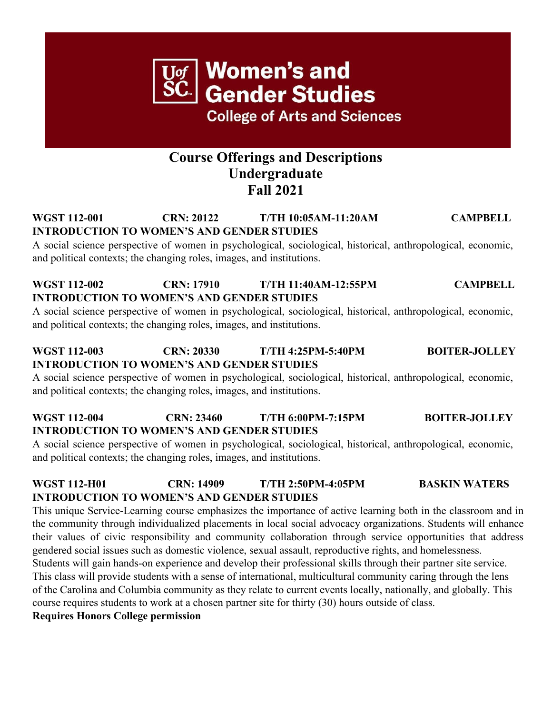## **Course Offerings and Descriptions Undergraduate Fall 2021**

#### **WGST 112-001 CRN: 20122 T/TH 10:05AM-11:20AM CAMPBELL INTRODUCTION TO WOMEN'S AND GENDER STUDIES**

A social science perspective of women in psychological, sociological, historical, anthropological, economic, and political contexts; the changing roles, images, and institutions.

#### **WGST 112-002 CRN: 17910 T/TH 11:40AM-12:55PM CAMPBELL INTRODUCTION TO WOMEN'S AND GENDER STUDIES**

A social science perspective of women in psychological, sociological, historical, anthropological, economic, and political contexts; the changing roles, images, and institutions.

#### **WGST 112-003 CRN: 20330 T/TH 4:25PM-5:40PM BOITER-JOLLEY INTRODUCTION TO WOMEN'S AND GENDER STUDIES**

A social science perspective of women in psychological, sociological, historical, anthropological, economic, and political contexts; the changing roles, images, and institutions.

#### **WGST 112-004 CRN: 23460 T/TH 6:00PM-7:15PM BOITER-JOLLEY INTRODUCTION TO WOMEN'S AND GENDER STUDIES**

A social science perspective of women in psychological, sociological, historical, anthropological, economic, and political contexts; the changing roles, images, and institutions.

#### **WGST 112-H01 CRN: 14909 T/TH 2:50PM-4:05PM BASKIN WATERS INTRODUCTION TO WOMEN'S AND GENDER STUDIES**

This unique Service-Learning course emphasizes the importance of active learning both in the classroom and in the community through individualized placements in local social advocacy organizations. Students will enhance their values of civic responsibility and community collaboration through service opportunities that address gendered social issues such as domestic violence, sexual assault, reproductive rights, and homelessness.

Students will gain hands-on experience and develop their professional skills through their partner site service. This class will provide students with a sense of international, multicultural community caring through the lens of the Carolina and Columbia community as they relate to current events locally, nationally, and globally. This course requires students to work at a chosen partner site for thirty (30) hours outside of class.

#### **Requires Honors College permission**

**Women's and Gender Studies** 

**College of Arts and Sciences**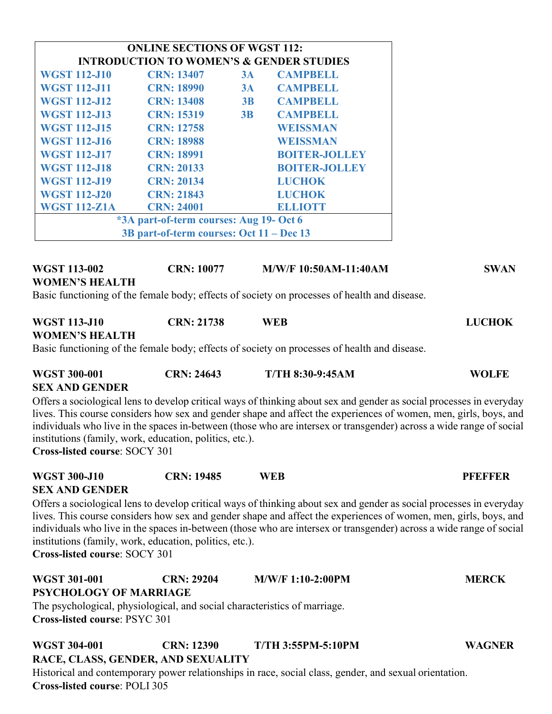| <b>ONLINE SECTIONS OF WGST 112:</b>                              |                   |    |                      |  |
|------------------------------------------------------------------|-------------------|----|----------------------|--|
| <b>INTRODUCTION TO WOMEN'S &amp; GENDER STUDIES</b>              |                   |    |                      |  |
| <b>WGST 112-J10</b>                                              | <b>CRN: 13407</b> | 3A | <b>CAMPBELL</b>      |  |
| <b>WGST 112-J11</b>                                              | <b>CRN: 18990</b> | 3A | <b>CAMPBELL</b>      |  |
| <b>WGST 112-J12</b>                                              | <b>CRN: 13408</b> | 3B | <b>CAMPBELL</b>      |  |
| <b>WGST 112-J13</b>                                              | <b>CRN: 15319</b> | 3B | <b>CAMPBELL</b>      |  |
| <b>WGST 112-J15</b>                                              | <b>CRN: 12758</b> |    | <b>WEISSMAN</b>      |  |
| <b>WGST 112-J16</b>                                              | <b>CRN: 18988</b> |    | WEISSMAN             |  |
| <b>WGST 112-J17</b>                                              | <b>CRN: 18991</b> |    | <b>BOITER-JOLLEY</b> |  |
| <b>BOITER-JOLLEY</b><br><b>WGST 112-J18</b><br><b>CRN: 20133</b> |                   |    |                      |  |
| <b>WGST 112-J19</b>                                              | <b>CRN: 20134</b> |    | <b>LUCHOK</b>        |  |
| <b>WGST 112-J20</b>                                              | <b>CRN: 21843</b> |    | <b>LUCHOK</b>        |  |
| <b>WGST 112-Z1A</b>                                              | <b>CRN: 24001</b> |    | <b>ELLIOTT</b>       |  |
| *3A part-of-term courses: Aug 19- Oct 6                          |                   |    |                      |  |
| 3B part-of-term courses: Oct 11 – Dec 13                         |                   |    |                      |  |

#### **WGST 113-002 CRN: 10077 M/W/F 10:50AM-11:40AM SWAN WOMEN'S HEALTH**

Basic functioning of the female body; effects of society on processes of health and disease.

# **WGST 113-J10 CRN: 21738 WEB LUCHOK**

#### **WOMEN'S HEALTH**

Basic functioning of the female body; effects of society on processes of health and disease.

| <b>WGST 300-001</b>   | <b>CRN: 24643</b> | <b>T/TH 8:30-9:45AM</b> | <b>WOLFE</b> |
|-----------------------|-------------------|-------------------------|--------------|
| <b>SEX AND GENDER</b> |                   |                         |              |

Offers a sociological lens to develop critical ways of thinking about sex and gender as social processes in everyday lives. This course considers how sex and gender shape and affect the experiences of women, men, girls, boys, and individuals who live in the spaces in-between (those who are intersex or transgender) across a wide range of social institutions (family, work, education, politics, etc.).

**Cross-listed course**: SOCY 301

| <b>WGST 300-J10</b>   | <b>CRN: 19485</b> | <b>WEB</b> | <b>PREFFER</b> |
|-----------------------|-------------------|------------|----------------|
| <b>SEV AND CENDER</b> |                   |            |                |

**SEX AND GENDER**

Offers a sociological lens to develop critical ways of thinking about sex and gender as social processes in everyday lives. This course considers how sex and gender shape and affect the experiences of women, men, girls, boys, and individuals who live in the spaces in-between (those who are intersex or transgender) across a wide range of social institutions (family, work, education, politics, etc.).

**Cross-listed course**: SOCY 301

| <b>WGST 301-001</b>                  | <b>CRN: 29204</b> | $M/W/F 1:10-2:00PM$                                                       | <b>MERCK</b> |
|--------------------------------------|-------------------|---------------------------------------------------------------------------|--------------|
| <b>PSYCHOLOGY OF MARRIAGE</b>        |                   |                                                                           |              |
|                                      |                   | The psychological, physiological, and social characteristics of marriage. |              |
| <b>Cross-listed course: PSYC 301</b> |                   |                                                                           |              |
| WGST 304-001                         | <b>CRN: 12390</b> | <b>T/TH 3:55PM-5:10PM</b>                                                 | WAGNER       |

#### **RACE, CLASS, GENDER, AND SEXUALITY**

Historical and contemporary power relationships in race, social class, gender, and sexual orientation. **Cross-listed course**: POLI 305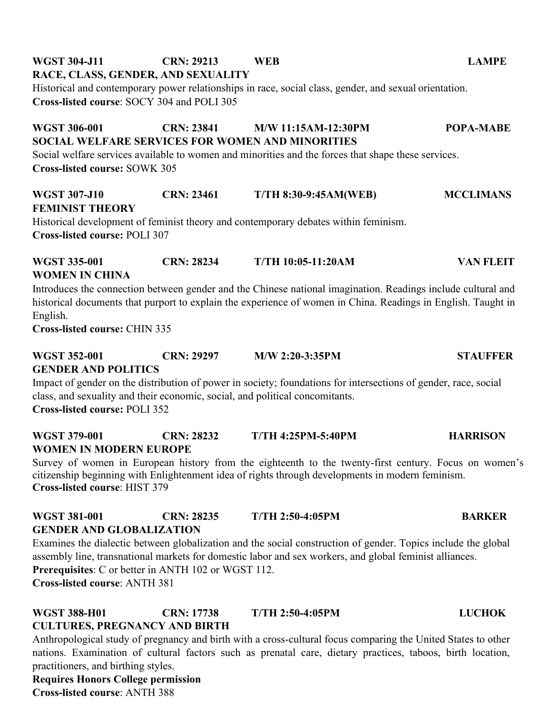# **WGST 304-J11 CRN: 29213 WEB LAMPE**

#### **RACE, CLASS, GENDER, AND SEXUALITY**

Historical and contemporary power relationships in race, social class, gender, and sexual orientation. **Cross-listed course**: SOCY 304 and POLI 305

### **WGST 306-001 CRN: 23841 M/W 11:15AM-12:30PM POPA-MABE SOCIAL WELFARE SERVICES FOR WOMEN AND MINORITIES**

Social welfare services available to women and minorities and the forces that shape these services. **Cross-listed course:** SOWK 305

### **WGST 307-J10 CRN: 23461 T/TH 8:30-9:45AM(WEB) MCCLIMANS FEMINIST THEORY** Historical development of feminist theory and contemporary debates within feminism.

**Cross-listed course:** POLI 307

# **WGST 335-001 CRN: 28234 T/TH 10:05-11:20AM VAN FLEIT WOMEN IN CHINA**

Introduces the connection between gender and the Chinese national imagination. Readings include cultural and historical documents that purport to explain the experience of women in China. Readings in English. Taught in English.

**Cross-listed course:** CHIN 335

**WGST 352-001 CRN: 29297 M/W 2:20-3:35PM STAUFFER** 

#### **GENDER AND POLITICS**

Impact of gender on the distribution of power in society; foundations for intersections of gender, race, social class, and sexuality and their economic, social, and political concomitants.

**Cross-listed course:** POLI 352

| WGST 379-001                  | <b>CRN: 28232</b> | <b>T/TH 4:25PM-5:40PM</b> | <b>HARRISON</b> |
|-------------------------------|-------------------|---------------------------|-----------------|
| <b>WOMEN IN MODERN EUROPE</b> |                   |                           |                 |

Survey of women in European history from the eighteenth to the twenty-first century. Focus on women's citizenship beginning with Enlightenment idea of rights through developments in modern feminism. **Cross-listed course**: HIST 379

#### **WGST 381-001 CRN: 28235 T/TH 2:50-4:05PM BARKER GENDER AND GLOBALIZATION**

Examines the dialectic between globalization and the social construction of gender. Topics include the global assembly line, transnational markets for domestic labor and sex workers, and global feminist alliances. **Prerequisites**: C or better in ANTH 102 or WGST 112. **Cross-listed course**: ANTH 381

#### **WGST 388-H01 CRN: 17738 T/TH 2:50-4:05PM LUCHOK CULTURES, PREGNANCY AND BIRTH**

Anthropological study of pregnancy and birth with a cross-cultural focus comparing the United States to other nations. Examination of cultural factors such as prenatal care, dietary practices, taboos, birth location, practitioners, and birthing styles.

**Requires Honors College permission Cross-listed course**: ANTH 388